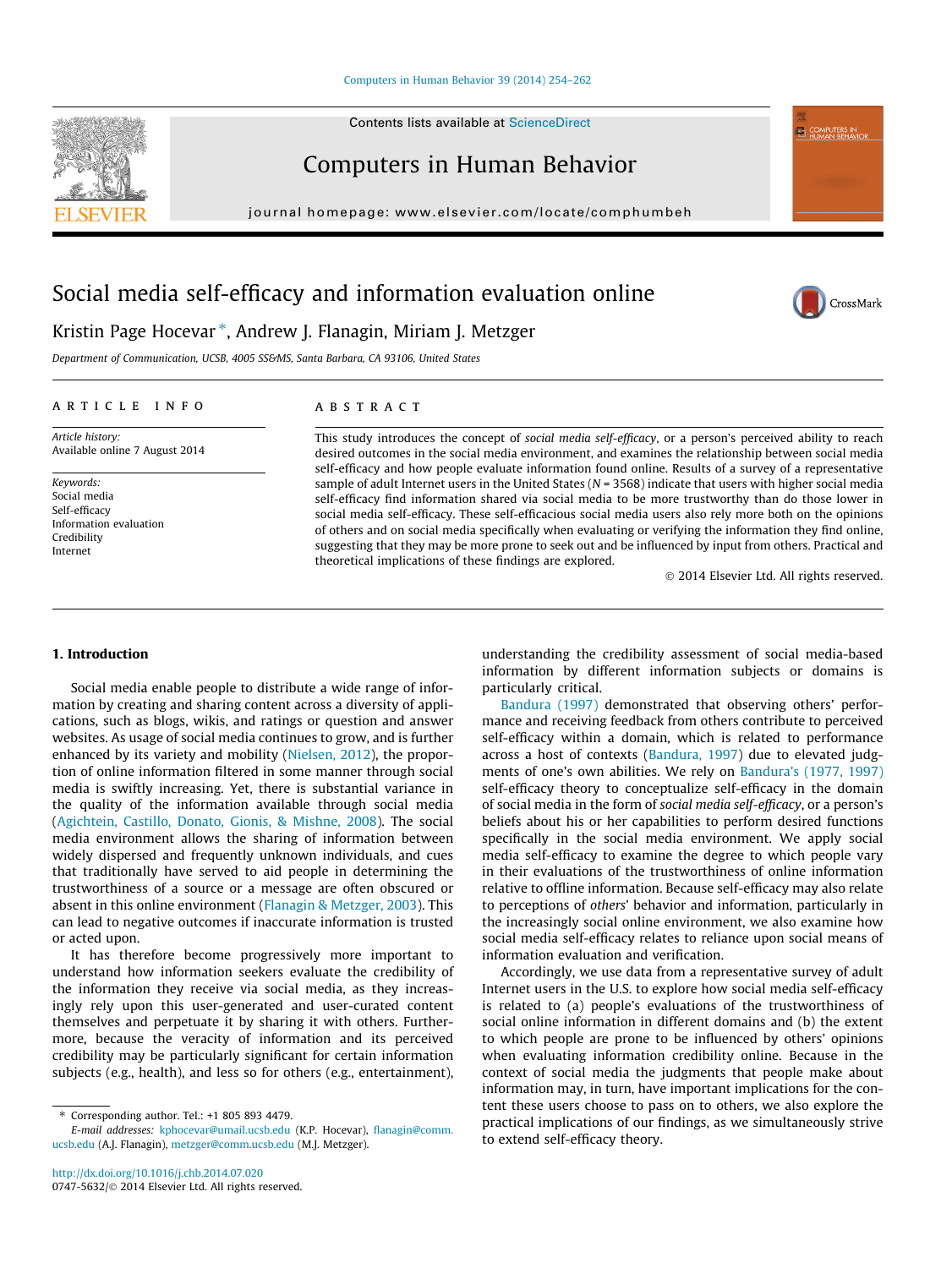Contents lists available at [ScienceDirect](http://www.sciencedirect.com/science/journal/07475632)

Computers in Human Behavior

journal homepage: [www.elsevier.com/locate/comphumbeh](http://www.elsevier.com/locate/comphumbeh)

# Social media self-efficacy and information evaluation online

Kristin Page Hocevar \*, Andrew J. Flanagin, Miriam J. Metzger

Department of Communication, UCSB, 4005 SS&MS, Santa Barbara, CA 93106, United States

# article info

Article history: Available online 7 August 2014

Keywords: Social media Self-efficacy Information evaluation Credibility Internet

# ABSTRACT

This study introduces the concept of social media self-efficacy, or a person's perceived ability to reach desired outcomes in the social media environment, and examines the relationship between social media self-efficacy and how people evaluate information found online. Results of a survey of a representative sample of adult Internet users in the United States ( $N = 3568$ ) indicate that users with higher social media self-efficacy find information shared via social media to be more trustworthy than do those lower in social media self-efficacy. These self-efficacious social media users also rely more both on the opinions of others and on social media specifically when evaluating or verifying the information they find online, suggesting that they may be more prone to seek out and be influenced by input from others. Practical and theoretical implications of these findings are explored.

- 2014 Elsevier Ltd. All rights reserved.

# 1. Introduction

Social media enable people to distribute a wide range of information by creating and sharing content across a diversity of applications, such as blogs, wikis, and ratings or question and answer websites. As usage of social media continues to grow, and is further enhanced by its variety and mobility [\(Nielsen, 2012\)](#page-8-0), the proportion of online information filtered in some manner through social media is swiftly increasing. Yet, there is substantial variance in the quality of the information available through social media ([Agichtein, Castillo, Donato, Gionis, & Mishne, 2008\)](#page-7-0). The social media environment allows the sharing of information between widely dispersed and frequently unknown individuals, and cues that traditionally have served to aid people in determining the trustworthiness of a source or a message are often obscured or absent in this online environment [\(Flanagin & Metzger, 2003](#page-7-0)). This can lead to negative outcomes if inaccurate information is trusted or acted upon.

It has therefore become progressively more important to understand how information seekers evaluate the credibility of the information they receive via social media, as they increasingly rely upon this user-generated and user-curated content themselves and perpetuate it by sharing it with others. Furthermore, because the veracity of information and its perceived credibility may be particularly significant for certain information subjects (e.g., health), and less so for others (e.g., entertainment), understanding the credibility assessment of social media-based information by different information subjects or domains is particularly critical.

[Bandura \(1997\)](#page-7-0) demonstrated that observing others' performance and receiving feedback from others contribute to perceived self-efficacy within a domain, which is related to performance across a host of contexts ([Bandura, 1997\)](#page-7-0) due to elevated judgments of one's own abilities. We rely on [Bandura's \(1977, 1997\)](#page-7-0) self-efficacy theory to conceptualize self-efficacy in the domain of social media in the form of social media self-efficacy, or a person's beliefs about his or her capabilities to perform desired functions specifically in the social media environment. We apply social media self-efficacy to examine the degree to which people vary in their evaluations of the trustworthiness of online information relative to offline information. Because self-efficacy may also relate to perceptions of others' behavior and information, particularly in the increasingly social online environment, we also examine how social media self-efficacy relates to reliance upon social means of information evaluation and verification.

Accordingly, we use data from a representative survey of adult Internet users in the U.S. to explore how social media self-efficacy is related to (a) people's evaluations of the trustworthiness of social online information in different domains and (b) the extent to which people are prone to be influenced by others' opinions when evaluating information credibility online. Because in the context of social media the judgments that people make about information may, in turn, have important implications for the content these users choose to pass on to others, we also explore the practical implications of our findings, as we simultaneously strive to extend self-efficacy theory.





**ED COMPUTERS IN** 

<sup>⇑</sup> Corresponding author. Tel.: +1 805 893 4479.

E-mail addresses: [kphocevar@umail.ucsb.edu](mailto:kphocevar@umail.ucsb.edu) (K.P. Hocevar), [flanagin@comm.](mailto:flanagin@comm.ucsb.edu) [ucsb.edu](mailto:flanagin@comm.ucsb.edu) (A.J. Flanagin), [metzger@comm.ucsb.edu](mailto:metzger@comm.ucsb.edu) (M.J. Metzger).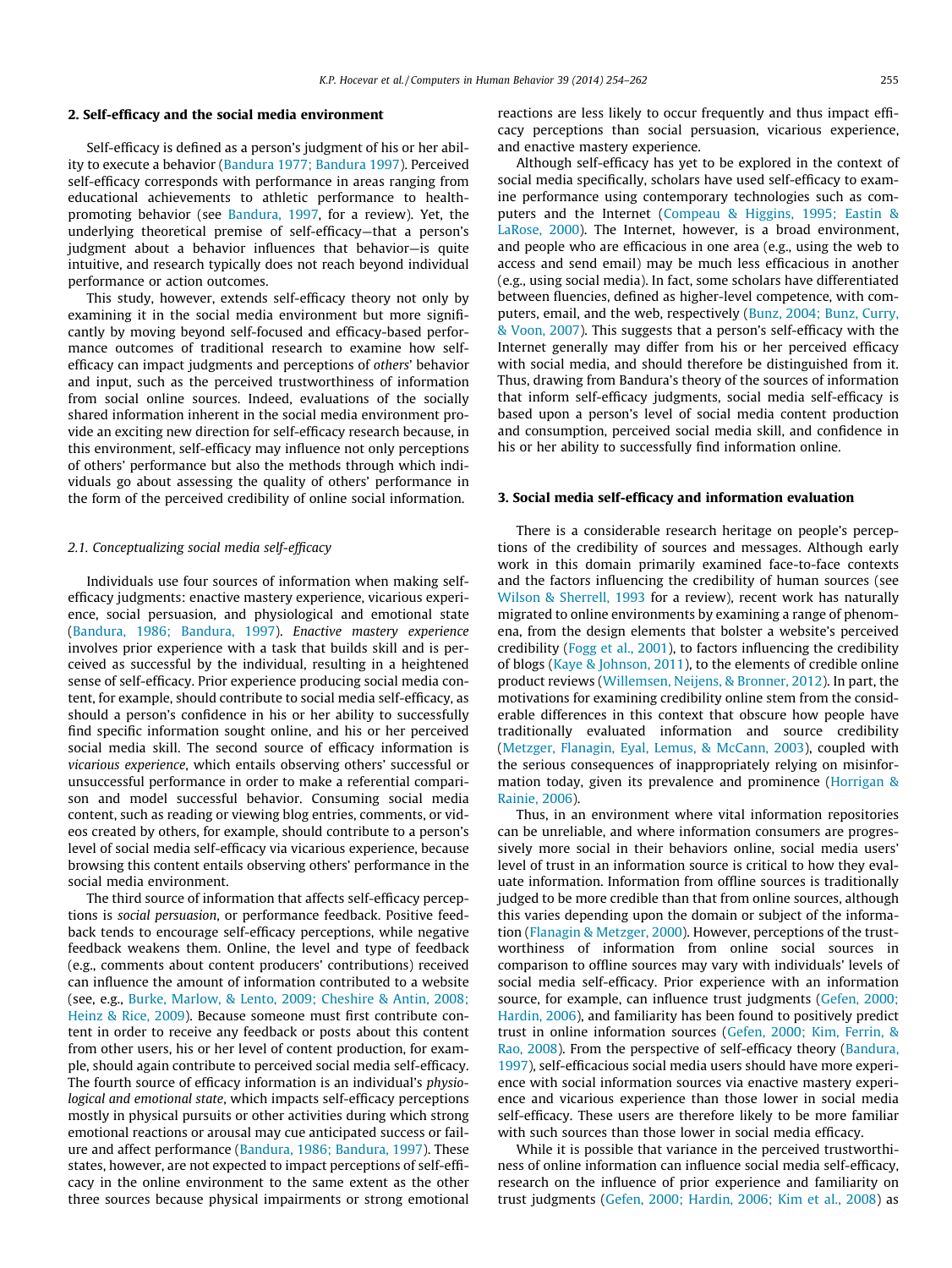# 2. Self-efficacy and the social media environment

Self-efficacy is defined as a person's judgment of his or her ability to execute a behavior [\(Bandura 1977; Bandura 1997](#page-7-0)). Perceived self-efficacy corresponds with performance in areas ranging from educational achievements to athletic performance to healthpromoting behavior (see [Bandura, 1997](#page-7-0), for a review). Yet, the underlying theoretical premise of self-efficacy—that a person's judgment about a behavior influences that behavior—is quite intuitive, and research typically does not reach beyond individual performance or action outcomes.

This study, however, extends self-efficacy theory not only by examining it in the social media environment but more significantly by moving beyond self-focused and efficacy-based performance outcomes of traditional research to examine how selfefficacy can impact judgments and perceptions of others' behavior and input, such as the perceived trustworthiness of information from social online sources. Indeed, evaluations of the socially shared information inherent in the social media environment provide an exciting new direction for self-efficacy research because, in this environment, self-efficacy may influence not only perceptions of others' performance but also the methods through which individuals go about assessing the quality of others' performance in the form of the perceived credibility of online social information.

# 2.1. Conceptualizing social media self-efficacy

Individuals use four sources of information when making selfefficacy judgments: enactive mastery experience, vicarious experience, social persuasion, and physiological and emotional state ([Bandura, 1986; Bandura, 1997](#page-7-0)). Enactive mastery experience involves prior experience with a task that builds skill and is perceived as successful by the individual, resulting in a heightened sense of self-efficacy. Prior experience producing social media content, for example, should contribute to social media self-efficacy, as should a person's confidence in his or her ability to successfully find specific information sought online, and his or her perceived social media skill. The second source of efficacy information is vicarious experience, which entails observing others' successful or unsuccessful performance in order to make a referential comparison and model successful behavior. Consuming social media content, such as reading or viewing blog entries, comments, or videos created by others, for example, should contribute to a person's level of social media self-efficacy via vicarious experience, because browsing this content entails observing others' performance in the social media environment.

The third source of information that affects self-efficacy perceptions is social persuasion, or performance feedback. Positive feedback tends to encourage self-efficacy perceptions, while negative feedback weakens them. Online, the level and type of feedback (e.g., comments about content producers' contributions) received can influence the amount of information contributed to a website (see, e.g., [Burke, Marlow, & Lento, 2009; Cheshire & Antin, 2008;](#page-7-0) [Heinz & Rice, 2009\)](#page-7-0). Because someone must first contribute content in order to receive any feedback or posts about this content from other users, his or her level of content production, for example, should again contribute to perceived social media self-efficacy. The fourth source of efficacy information is an individual's physiological and emotional state, which impacts self-efficacy perceptions mostly in physical pursuits or other activities during which strong emotional reactions or arousal may cue anticipated success or failure and affect performance [\(Bandura, 1986; Bandura, 1997\)](#page-7-0). These states, however, are not expected to impact perceptions of self-efficacy in the online environment to the same extent as the other three sources because physical impairments or strong emotional reactions are less likely to occur frequently and thus impact efficacy perceptions than social persuasion, vicarious experience, and enactive mastery experience.

Although self-efficacy has yet to be explored in the context of social media specifically, scholars have used self-efficacy to examine performance using contemporary technologies such as computers and the Internet [\(Compeau & Higgins, 1995; Eastin &](#page-7-0) [LaRose, 2000\)](#page-7-0). The Internet, however, is a broad environment, and people who are efficacious in one area (e.g., using the web to access and send email) may be much less efficacious in another (e.g., using social media). In fact, some scholars have differentiated between fluencies, defined as higher-level competence, with computers, email, and the web, respectively ([Bunz, 2004; Bunz, Curry,](#page-7-0) [& Voon, 2007\)](#page-7-0). This suggests that a person's self-efficacy with the Internet generally may differ from his or her perceived efficacy with social media, and should therefore be distinguished from it. Thus, drawing from Bandura's theory of the sources of information that inform self-efficacy judgments, social media self-efficacy is based upon a person's level of social media content production and consumption, perceived social media skill, and confidence in his or her ability to successfully find information online.

#### 3. Social media self-efficacy and information evaluation

There is a considerable research heritage on people's perceptions of the credibility of sources and messages. Although early work in this domain primarily examined face-to-face contexts and the factors influencing the credibility of human sources (see [Wilson & Sherrell, 1993](#page-8-0) for a review), recent work has naturally migrated to online environments by examining a range of phenomena, from the design elements that bolster a website's perceived credibility ([Fogg et al., 2001](#page-7-0)), to factors influencing the credibility of blogs [\(Kaye & Johnson, 2011](#page-7-0)), to the elements of credible online product reviews [\(Willemsen, Neijens, & Bronner, 2012\)](#page-8-0). In part, the motivations for examining credibility online stem from the considerable differences in this context that obscure how people have traditionally evaluated information and source credibility ([Metzger, Flanagin, Eyal, Lemus, & McCann, 2003](#page-7-0)), coupled with the serious consequences of inappropriately relying on misinformation today, given its prevalence and prominence ([Horrigan &](#page-7-0) [Rainie, 2006](#page-7-0)).

Thus, in an environment where vital information repositories can be unreliable, and where information consumers are progressively more social in their behaviors online, social media users' level of trust in an information source is critical to how they evaluate information. Information from offline sources is traditionally judged to be more credible than that from online sources, although this varies depending upon the domain or subject of the information ([Flanagin & Metzger, 2000\)](#page-7-0). However, perceptions of the trustworthiness of information from online social sources in comparison to offline sources may vary with individuals' levels of social media self-efficacy. Prior experience with an information source, for example, can influence trust judgments ([Gefen, 2000;](#page-7-0) [Hardin, 2006\)](#page-7-0), and familiarity has been found to positively predict trust in online information sources [\(Gefen, 2000; Kim, Ferrin, &](#page-7-0) [Rao, 2008](#page-7-0)). From the perspective of self-efficacy theory [\(Bandura,](#page-7-0) [1997\)](#page-7-0), self-efficacious social media users should have more experience with social information sources via enactive mastery experience and vicarious experience than those lower in social media self-efficacy. These users are therefore likely to be more familiar with such sources than those lower in social media efficacy.

While it is possible that variance in the perceived trustworthiness of online information can influence social media self-efficacy, research on the influence of prior experience and familiarity on trust judgments [\(Gefen, 2000; Hardin, 2006; Kim et al., 2008\)](#page-7-0) as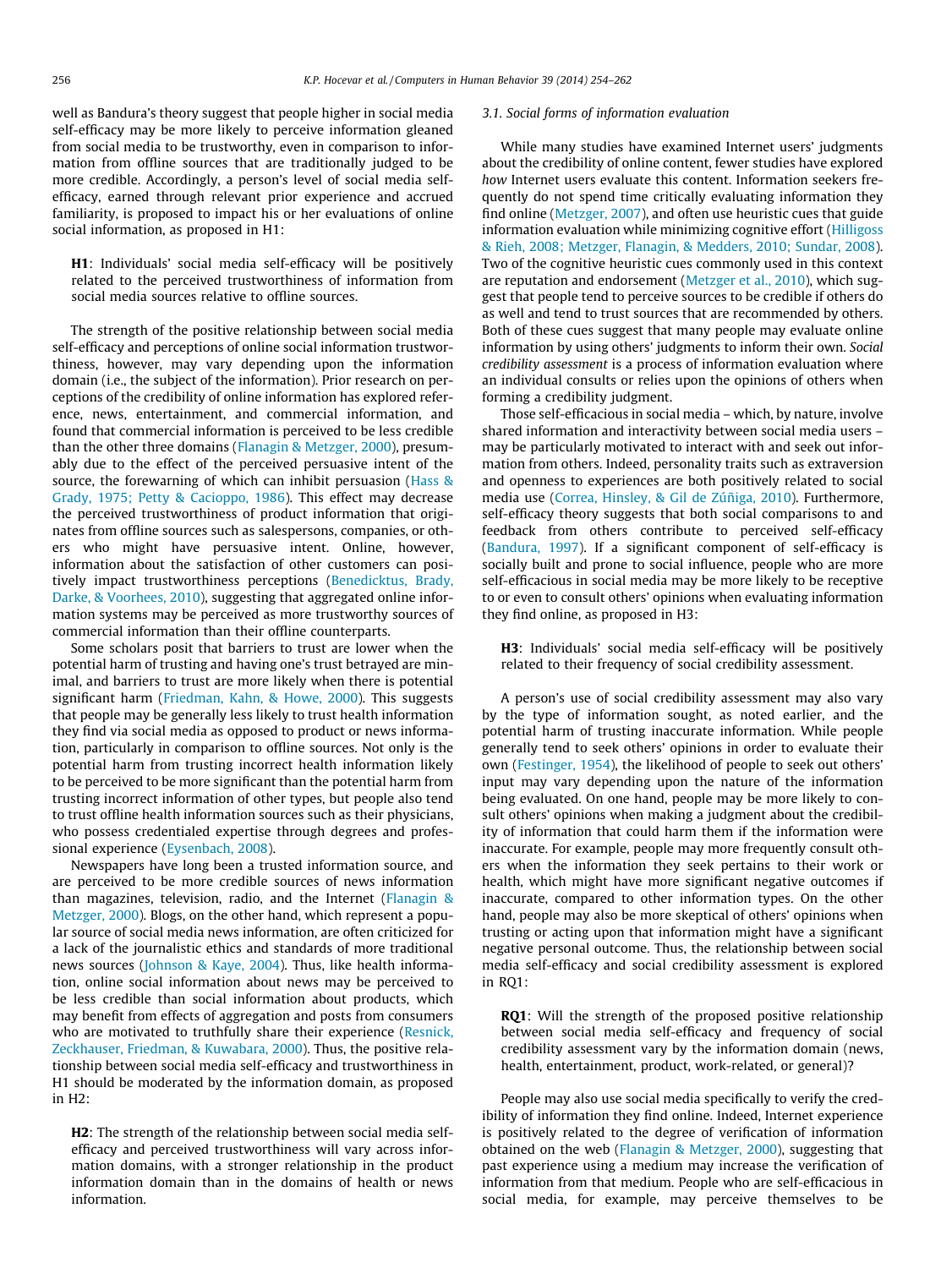well as Bandura's theory suggest that people higher in social media self-efficacy may be more likely to perceive information gleaned from social media to be trustworthy, even in comparison to information from offline sources that are traditionally judged to be more credible. Accordingly, a person's level of social media selfefficacy, earned through relevant prior experience and accrued familiarity, is proposed to impact his or her evaluations of online social information, as proposed in H1:

H1: Individuals' social media self-efficacy will be positively related to the perceived trustworthiness of information from social media sources relative to offline sources.

The strength of the positive relationship between social media self-efficacy and perceptions of online social information trustworthiness, however, may vary depending upon the information domain (i.e., the subject of the information). Prior research on perceptions of the credibility of online information has explored reference, news, entertainment, and commercial information, and found that commercial information is perceived to be less credible than the other three domains ([Flanagin & Metzger, 2000\)](#page-7-0), presumably due to the effect of the perceived persuasive intent of the source, the forewarning of which can inhibit persuasion [\(Hass &](#page-7-0) [Grady, 1975; Petty & Cacioppo, 1986](#page-7-0)). This effect may decrease the perceived trustworthiness of product information that originates from offline sources such as salespersons, companies, or others who might have persuasive intent. Online, however, information about the satisfaction of other customers can positively impact trustworthiness perceptions [\(Benedicktus, Brady,](#page-7-0) [Darke, & Voorhees, 2010](#page-7-0)), suggesting that aggregated online information systems may be perceived as more trustworthy sources of commercial information than their offline counterparts.

Some scholars posit that barriers to trust are lower when the potential harm of trusting and having one's trust betrayed are minimal, and barriers to trust are more likely when there is potential significant harm [\(Friedman, Kahn, & Howe, 2000\)](#page-7-0). This suggests that people may be generally less likely to trust health information they find via social media as opposed to product or news information, particularly in comparison to offline sources. Not only is the potential harm from trusting incorrect health information likely to be perceived to be more significant than the potential harm from trusting incorrect information of other types, but people also tend to trust offline health information sources such as their physicians, who possess credentialed expertise through degrees and professional experience [\(Eysenbach, 2008\)](#page-7-0).

Newspapers have long been a trusted information source, and are perceived to be more credible sources of news information than magazines, television, radio, and the Internet ([Flanagin &](#page-7-0) [Metzger, 2000\)](#page-7-0). Blogs, on the other hand, which represent a popular source of social media news information, are often criticized for a lack of the journalistic ethics and standards of more traditional news sources [\(Johnson & Kaye, 2004](#page-7-0)). Thus, like health information, online social information about news may be perceived to be less credible than social information about products, which may benefit from effects of aggregation and posts from consumers who are motivated to truthfully share their experience [\(Resnick,](#page-8-0) [Zeckhauser, Friedman, & Kuwabara, 2000](#page-8-0)). Thus, the positive relationship between social media self-efficacy and trustworthiness in H1 should be moderated by the information domain, as proposed in H2:

H2: The strength of the relationship between social media selfefficacy and perceived trustworthiness will vary across information domains, with a stronger relationship in the product information domain than in the domains of health or news information.

#### 3.1. Social forms of information evaluation

While many studies have examined Internet users' judgments about the credibility of online content, fewer studies have explored how Internet users evaluate this content. Information seekers frequently do not spend time critically evaluating information they find online [\(Metzger, 2007](#page-7-0)), and often use heuristic cues that guide information evaluation while minimizing cognitive effort [\(Hilligoss](#page-7-0) [& Rieh, 2008; Metzger, Flanagin, & Medders, 2010; Sundar, 2008\)](#page-7-0). Two of the cognitive heuristic cues commonly used in this context are reputation and endorsement [\(Metzger et al., 2010\)](#page-7-0), which suggest that people tend to perceive sources to be credible if others do as well and tend to trust sources that are recommended by others. Both of these cues suggest that many people may evaluate online information by using others' judgments to inform their own. Social credibility assessment is a process of information evaluation where an individual consults or relies upon the opinions of others when forming a credibility judgment.

Those self-efficacious in social media – which, by nature, involve shared information and interactivity between social media users – may be particularly motivated to interact with and seek out information from others. Indeed, personality traits such as extraversion and openness to experiences are both positively related to social media use [\(Correa, Hinsley, & Gil de Zúñiga, 2010](#page-7-0)). Furthermore, self-efficacy theory suggests that both social comparisons to and feedback from others contribute to perceived self-efficacy ([Bandura, 1997](#page-7-0)). If a significant component of self-efficacy is socially built and prone to social influence, people who are more self-efficacious in social media may be more likely to be receptive to or even to consult others' opinions when evaluating information they find online, as proposed in H3:

H3: Individuals' social media self-efficacy will be positively related to their frequency of social credibility assessment.

A person's use of social credibility assessment may also vary by the type of information sought, as noted earlier, and the potential harm of trusting inaccurate information. While people generally tend to seek others' opinions in order to evaluate their own ([Festinger, 1954\)](#page-7-0), the likelihood of people to seek out others' input may vary depending upon the nature of the information being evaluated. On one hand, people may be more likely to consult others' opinions when making a judgment about the credibility of information that could harm them if the information were inaccurate. For example, people may more frequently consult others when the information they seek pertains to their work or health, which might have more significant negative outcomes if inaccurate, compared to other information types. On the other hand, people may also be more skeptical of others' opinions when trusting or acting upon that information might have a significant negative personal outcome. Thus, the relationship between social media self-efficacy and social credibility assessment is explored in RQ1:

RQ1: Will the strength of the proposed positive relationship between social media self-efficacy and frequency of social credibility assessment vary by the information domain (news, health, entertainment, product, work-related, or general)?

People may also use social media specifically to verify the credibility of information they find online. Indeed, Internet experience is positively related to the degree of verification of information obtained on the web ([Flanagin & Metzger, 2000](#page-7-0)), suggesting that past experience using a medium may increase the verification of information from that medium. People who are self-efficacious in social media, for example, may perceive themselves to be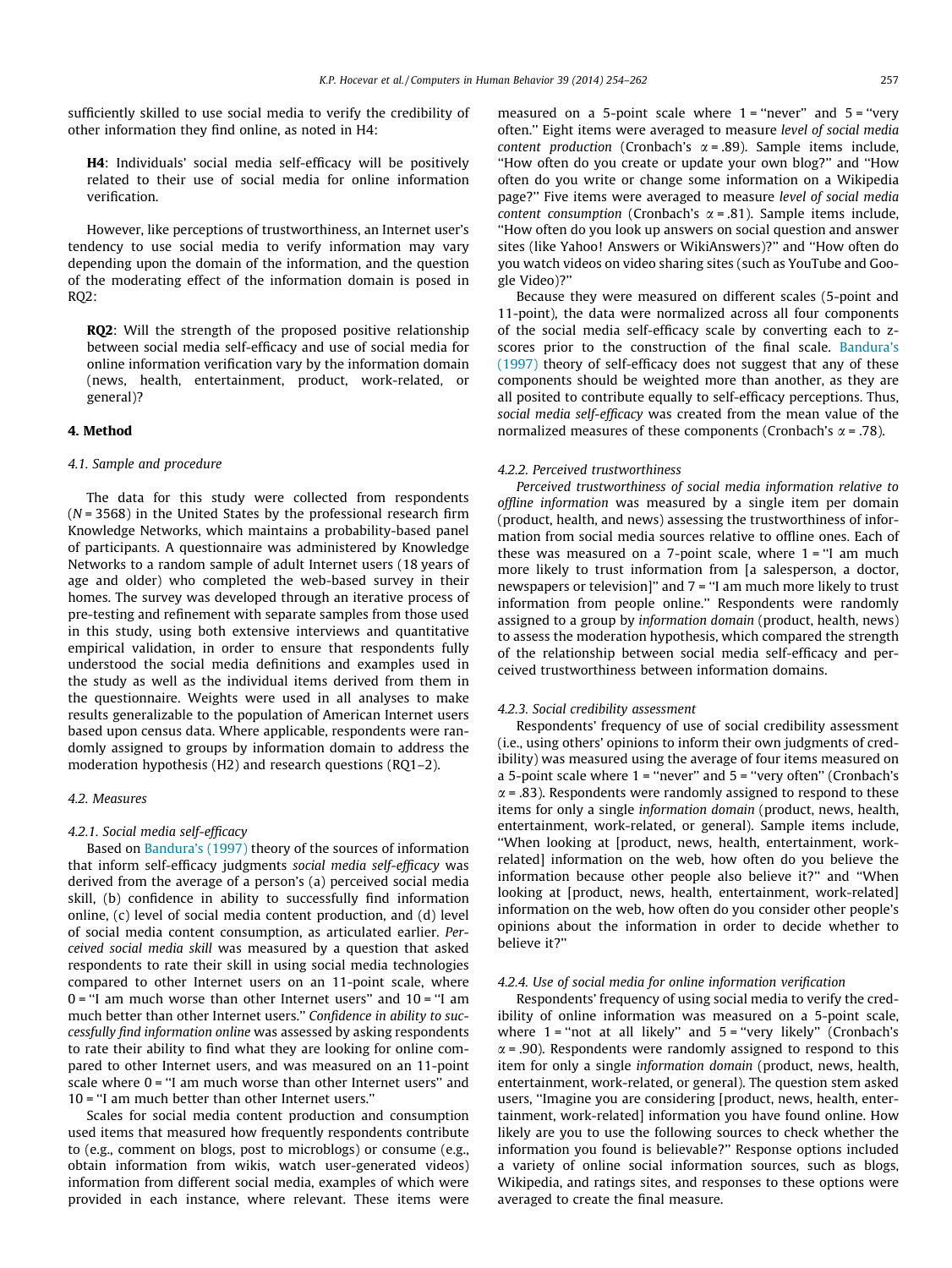sufficiently skilled to use social media to verify the credibility of other information they find online, as noted in H4:

H4: Individuals' social media self-efficacy will be positively related to their use of social media for online information verification.

However, like perceptions of trustworthiness, an Internet user's tendency to use social media to verify information may vary depending upon the domain of the information, and the question of the moderating effect of the information domain is posed in RQ2:

RQ2: Will the strength of the proposed positive relationship between social media self-efficacy and use of social media for online information verification vary by the information domain (news, health, entertainment, product, work-related, or general)?

# 4. Method

## 4.1. Sample and procedure

The data for this study were collected from respondents  $(N = 3568)$  in the United States by the professional research firm Knowledge Networks, which maintains a probability-based panel of participants. A questionnaire was administered by Knowledge Networks to a random sample of adult Internet users (18 years of age and older) who completed the web-based survey in their homes. The survey was developed through an iterative process of pre-testing and refinement with separate samples from those used in this study, using both extensive interviews and quantitative empirical validation, in order to ensure that respondents fully understood the social media definitions and examples used in the study as well as the individual items derived from them in the questionnaire. Weights were used in all analyses to make results generalizable to the population of American Internet users based upon census data. Where applicable, respondents were randomly assigned to groups by information domain to address the moderation hypothesis (H2) and research questions (RQ1–2).

# 4.2. Measures

# 4.2.1. Social media self-efficacy

Based on [Bandura's \(1997\)](#page-7-0) theory of the sources of information that inform self-efficacy judgments social media self-efficacy was derived from the average of a person's (a) perceived social media skill, (b) confidence in ability to successfully find information online, (c) level of social media content production, and (d) level of social media content consumption, as articulated earlier. Perceived social media skill was measured by a question that asked respondents to rate their skill in using social media technologies compared to other Internet users on an 11-point scale, where  $0 =$  "I am much worse than other Internet users" and  $10 =$  "I am much better than other Internet users." Confidence in ability to successfully find information online was assessed by asking respondents to rate their ability to find what they are looking for online compared to other Internet users, and was measured on an 11-point scale where 0 = ''I am much worse than other Internet users'' and 10 = ''I am much better than other Internet users.''

Scales for social media content production and consumption used items that measured how frequently respondents contribute to (e.g., comment on blogs, post to microblogs) or consume (e.g., obtain information from wikis, watch user-generated videos) information from different social media, examples of which were provided in each instance, where relevant. These items were measured on a 5-point scale where  $1 =$  "never" and  $5 =$  "very often.'' Eight items were averaged to measure level of social media content production (Cronbach's  $\alpha$  = .89). Sample items include, ''How often do you create or update your own blog?'' and ''How often do you write or change some information on a Wikipedia page?'' Five items were averaged to measure level of social media content consumption (Cronbach's  $\alpha$  = .81). Sample items include, ''How often do you look up answers on social question and answer sites (like Yahoo! Answers or WikiAnswers)?'' and ''How often do you watch videos on video sharing sites (such as YouTube and Google Video)?''

Because they were measured on different scales (5-point and 11-point), the data were normalized across all four components of the social media self-efficacy scale by converting each to zscores prior to the construction of the final scale. [Bandura's](#page-7-0) [\(1997\)](#page-7-0) theory of self-efficacy does not suggest that any of these components should be weighted more than another, as they are all posited to contribute equally to self-efficacy perceptions. Thus, social media self-efficacy was created from the mean value of the normalized measures of these components (Cronbach's  $\alpha$  = .78).

# 4.2.2. Perceived trustworthiness

Perceived trustworthiness of social media information relative to offline information was measured by a single item per domain (product, health, and news) assessing the trustworthiness of information from social media sources relative to offline ones. Each of these was measured on a 7-point scale, where  $1 = "I$  am much more likely to trust information from [a salesperson, a doctor, newspapers or television]'' and 7 = ''I am much more likely to trust information from people online.'' Respondents were randomly assigned to a group by information domain (product, health, news) to assess the moderation hypothesis, which compared the strength of the relationship between social media self-efficacy and perceived trustworthiness between information domains.

# 4.2.3. Social credibility assessment

Respondents' frequency of use of social credibility assessment (i.e., using others' opinions to inform their own judgments of credibility) was measured using the average of four items measured on a 5-point scale where  $1$  = "never" and  $5$  = "very often" (Cronbach's  $\alpha$  = .83). Respondents were randomly assigned to respond to these items for only a single information domain (product, news, health, entertainment, work-related, or general). Sample items include, ''When looking at [product, news, health, entertainment, workrelated] information on the web, how often do you believe the information because other people also believe it?'' and ''When looking at [product, news, health, entertainment, work-related] information on the web, how often do you consider other people's opinions about the information in order to decide whether to believe it?''

## 4.2.4. Use of social media for online information verification

Respondents' frequency of using social media to verify the credibility of online information was measured on a 5-point scale, where 1 = "not at all likely" and 5 = "very likely" (Cronbach's  $\alpha$  = .90). Respondents were randomly assigned to respond to this item for only a single information domain (product, news, health, entertainment, work-related, or general). The question stem asked users, ''Imagine you are considering [product, news, health, entertainment, work-related] information you have found online. How likely are you to use the following sources to check whether the information you found is believable?'' Response options included a variety of online social information sources, such as blogs, Wikipedia, and ratings sites, and responses to these options were averaged to create the final measure.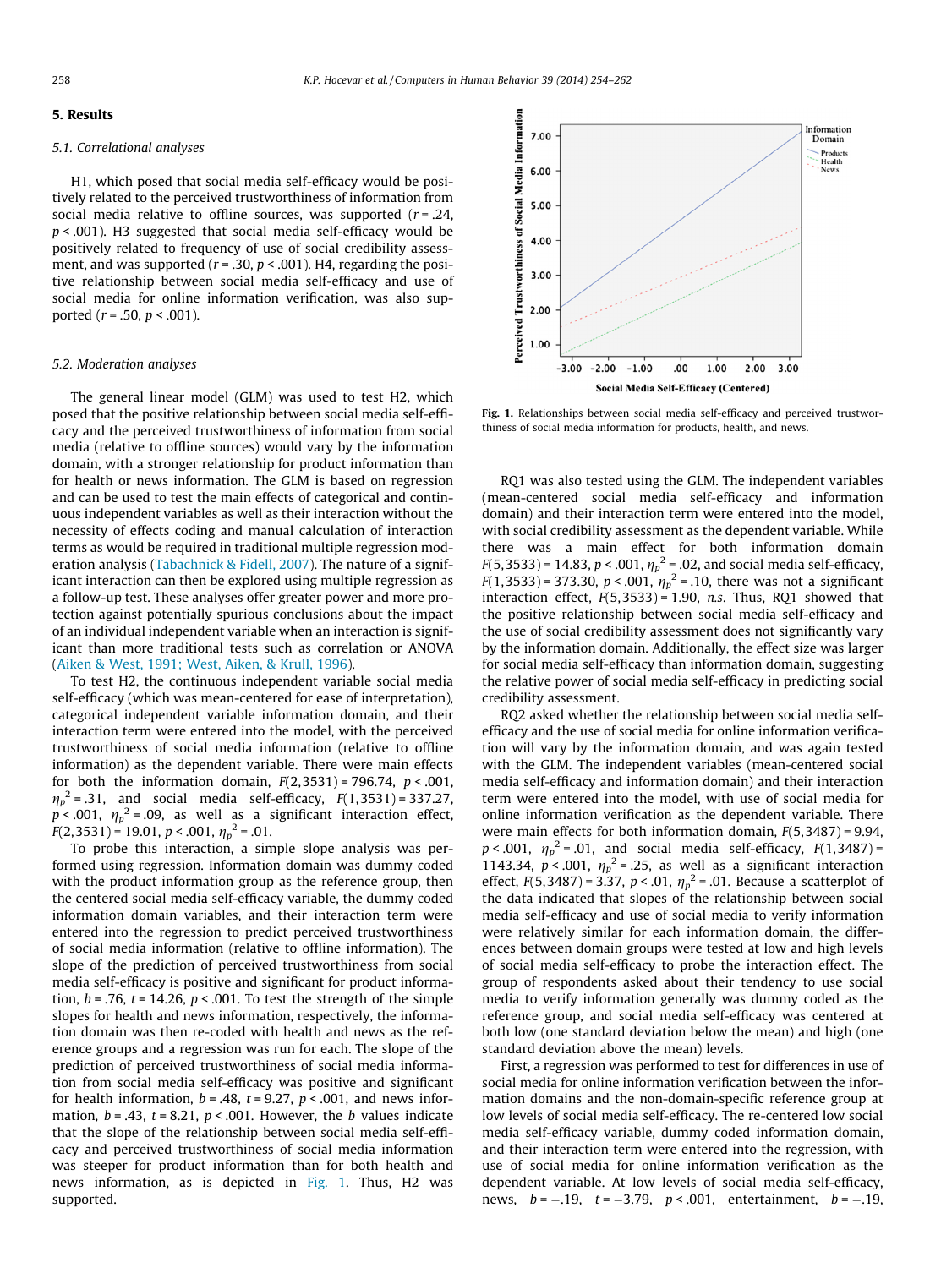# 5. Results

## 5.1. Correlational analyses

H1, which posed that social media self-efficacy would be positively related to the perceived trustworthiness of information from social media relative to offline sources, was supported  $(r = .24, )$  $p < .001$ ). H3 suggested that social media self-efficacy would be positively related to frequency of use of social credibility assessment, and was supported ( $r = 0.30$ ,  $p < 0.001$ ). H4, regarding the positive relationship between social media self-efficacy and use of social media for online information verification, was also supported ( $r = .50$ ,  $p < .001$ ).

#### 5.2. Moderation analyses

The general linear model (GLM) was used to test H2, which posed that the positive relationship between social media self-efficacy and the perceived trustworthiness of information from social media (relative to offline sources) would vary by the information domain, with a stronger relationship for product information than for health or news information. The GLM is based on regression and can be used to test the main effects of categorical and continuous independent variables as well as their interaction without the necessity of effects coding and manual calculation of interaction terms as would be required in traditional multiple regression moderation analysis [\(Tabachnick & Fidell, 2007\)](#page-8-0). The nature of a significant interaction can then be explored using multiple regression as a follow-up test. These analyses offer greater power and more protection against potentially spurious conclusions about the impact of an individual independent variable when an interaction is significant than more traditional tests such as correlation or ANOVA ([Aiken & West, 1991; West, Aiken, & Krull, 1996](#page-7-0)).

To test H2, the continuous independent variable social media self-efficacy (which was mean-centered for ease of interpretation), categorical independent variable information domain, and their interaction term were entered into the model, with the perceived trustworthiness of social media information (relative to offline information) as the dependent variable. There were main effects for both the information domain,  $F(2,3531) = 796.74$ ,  $p < .001$ ,  $\eta_p^2$  = .31, and social media self-efficacy,  $F(1,3531)$  = 337.27,  $p < .001$ ,  $\eta_p^2 = .09$ , as well as a significant interaction effect,  $F(2,3531) = 19.01, p < .001, \eta_p^2 = .01.$ 

To probe this interaction, a simple slope analysis was performed using regression. Information domain was dummy coded with the product information group as the reference group, then the centered social media self-efficacy variable, the dummy coded information domain variables, and their interaction term were entered into the regression to predict perceived trustworthiness of social media information (relative to offline information). The slope of the prediction of perceived trustworthiness from social media self-efficacy is positive and significant for product information,  $b = .76$ ,  $t = 14.26$ ,  $p < .001$ . To test the strength of the simple slopes for health and news information, respectively, the information domain was then re-coded with health and news as the reference groups and a regression was run for each. The slope of the prediction of perceived trustworthiness of social media information from social media self-efficacy was positive and significant for health information,  $b = .48$ ,  $t = 9.27$ ,  $p < .001$ , and news information,  $b = .43$ ,  $t = 8.21$ ,  $p < .001$ . However, the *b* values indicate that the slope of the relationship between social media self-efficacy and perceived trustworthiness of social media information was steeper for product information than for both health and news information, as is depicted in Fig. 1. Thus, H2 was supported.



Fig. 1. Relationships between social media self-efficacy and perceived trustworthiness of social media information for products, health, and news.

RQ1 was also tested using the GLM. The independent variables (mean-centered social media self-efficacy and information domain) and their interaction term were entered into the model, with social credibility assessment as the dependent variable. While there was a main effect for both information domain  $F(5,3533)$  = 14.83, p < .001,  $\eta_p^2$  = .02, and social media self-efficacy,  $F(1,3533)$  = 373.30,  $p < .001$ ,  $\eta_p^2$  = .10, there was not a significant interaction effect,  $F(5,3533) = 1.90$ , n.s. Thus, RQ1 showed that the positive relationship between social media self-efficacy and the use of social credibility assessment does not significantly vary by the information domain. Additionally, the effect size was larger for social media self-efficacy than information domain, suggesting the relative power of social media self-efficacy in predicting social credibility assessment.

RQ2 asked whether the relationship between social media selfefficacy and the use of social media for online information verification will vary by the information domain, and was again tested with the GLM. The independent variables (mean-centered social media self-efficacy and information domain) and their interaction term were entered into the model, with use of social media for online information verification as the dependent variable. There were main effects for both information domain,  $F(5,3487) = 9.94$ ,  $p < .001$ ,  $\eta_p^2 = .01$ , and social media self-efficacy,  $F(1,3487) =$ 1143.34,  $p < .001$ ,  $\eta_p^2 = .25$ , as well as a significant interaction effect,  $F(5,3487) = 3.37$ ,  $p < .01$ ,  $\eta_p^2 = .01$ . Because a scatterplot of the data indicated that slopes of the relationship between social media self-efficacy and use of social media to verify information were relatively similar for each information domain, the differences between domain groups were tested at low and high levels of social media self-efficacy to probe the interaction effect. The group of respondents asked about their tendency to use social media to verify information generally was dummy coded as the reference group, and social media self-efficacy was centered at both low (one standard deviation below the mean) and high (one standard deviation above the mean) levels.

First, a regression was performed to test for differences in use of social media for online information verification between the information domains and the non-domain-specific reference group at low levels of social media self-efficacy. The re-centered low social media self-efficacy variable, dummy coded information domain, and their interaction term were entered into the regression, with use of social media for online information verification as the dependent variable. At low levels of social media self-efficacy, news,  $b = -.19$ ,  $t = -3.79$ ,  $p < .001$ , entertainment,  $b = -.19$ ,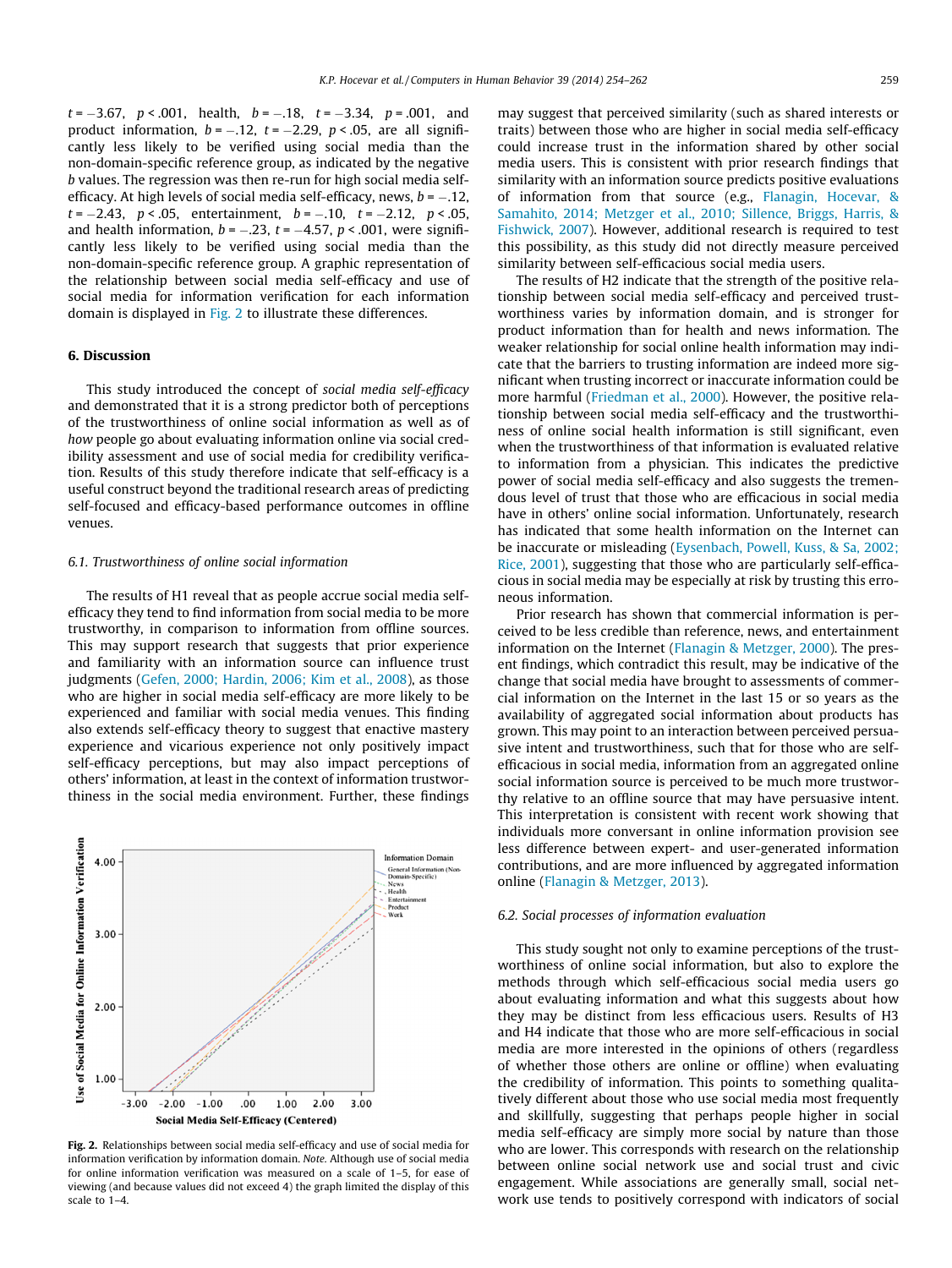$t = -3.67$ ,  $p < .001$ , health,  $b = -.18$ ,  $t = -3.34$ ,  $p = .001$ , and product information,  $b = -.12$ ,  $t = -2.29$ ,  $p < .05$ , are all significantly less likely to be verified using social media than the non-domain-specific reference group, as indicated by the negative b values. The regression was then re-run for high social media selfefficacy. At high levels of social media self-efficacy, news,  $b$  =  $-.12,$  $t$  =  $-2.43$ ,  $p$  <  $.05$ , entertainment,  $b$  =  $- .10$ ,  $t$  =  $-2.12$ ,  $p$  <  $.05$ , and health information,  $b$  =  $-.23$ ,  $t$  =  $-4.57$ ,  $p$  < .001, were significantly less likely to be verified using social media than the non-domain-specific reference group. A graphic representation of the relationship between social media self-efficacy and use of social media for information verification for each information domain is displayed in Fig. 2 to illustrate these differences.

## 6. Discussion

This study introduced the concept of social media self-efficacy and demonstrated that it is a strong predictor both of perceptions of the trustworthiness of online social information as well as of how people go about evaluating information online via social credibility assessment and use of social media for credibility verification. Results of this study therefore indicate that self-efficacy is a useful construct beyond the traditional research areas of predicting self-focused and efficacy-based performance outcomes in offline venues.

#### 6.1. Trustworthiness of online social information

The results of H1 reveal that as people accrue social media selfefficacy they tend to find information from social media to be more trustworthy, in comparison to information from offline sources. This may support research that suggests that prior experience and familiarity with an information source can influence trust judgments [\(Gefen, 2000; Hardin, 2006; Kim et al., 2008\)](#page-7-0), as those who are higher in social media self-efficacy are more likely to be experienced and familiar with social media venues. This finding also extends self-efficacy theory to suggest that enactive mastery experience and vicarious experience not only positively impact self-efficacy perceptions, but may also impact perceptions of others' information, at least in the context of information trustworthiness in the social media environment. Further, these findings



Fig. 2. Relationships between social media self-efficacy and use of social media for information verification by information domain. Note. Although use of social media for online information verification was measured on a scale of 1–5, for ease of viewing (and because values did not exceed 4) the graph limited the display of this scale to 1–4.

may suggest that perceived similarity (such as shared interests or traits) between those who are higher in social media self-efficacy could increase trust in the information shared by other social media users. This is consistent with prior research findings that similarity with an information source predicts positive evaluations of information from that source (e.g., [Flanagin, Hocevar, &](#page-7-0) [Samahito, 2014; Metzger et al., 2010; Sillence, Briggs, Harris, &](#page-7-0) [Fishwick, 2007\)](#page-7-0). However, additional research is required to test this possibility, as this study did not directly measure perceived similarity between self-efficacious social media users.

The results of H2 indicate that the strength of the positive relationship between social media self-efficacy and perceived trustworthiness varies by information domain, and is stronger for product information than for health and news information. The weaker relationship for social online health information may indicate that the barriers to trusting information are indeed more significant when trusting incorrect or inaccurate information could be more harmful [\(Friedman et al., 2000\)](#page-7-0). However, the positive relationship between social media self-efficacy and the trustworthiness of online social health information is still significant, even when the trustworthiness of that information is evaluated relative to information from a physician. This indicates the predictive power of social media self-efficacy and also suggests the tremendous level of trust that those who are efficacious in social media have in others' online social information. Unfortunately, research has indicated that some health information on the Internet can be inaccurate or misleading ([Eysenbach, Powell, Kuss, & Sa, 2002;](#page-7-0) [Rice, 2001\)](#page-7-0), suggesting that those who are particularly self-efficacious in social media may be especially at risk by trusting this erroneous information.

Prior research has shown that commercial information is perceived to be less credible than reference, news, and entertainment information on the Internet [\(Flanagin & Metzger, 2000](#page-7-0)). The present findings, which contradict this result, may be indicative of the change that social media have brought to assessments of commercial information on the Internet in the last 15 or so years as the availability of aggregated social information about products has grown. This may point to an interaction between perceived persuasive intent and trustworthiness, such that for those who are selfefficacious in social media, information from an aggregated online social information source is perceived to be much more trustworthy relative to an offline source that may have persuasive intent. This interpretation is consistent with recent work showing that individuals more conversant in online information provision see less difference between expert- and user-generated information contributions, and are more influenced by aggregated information online ([Flanagin & Metzger, 2013](#page-7-0)).

# 6.2. Social processes of information evaluation

This study sought not only to examine perceptions of the trustworthiness of online social information, but also to explore the methods through which self-efficacious social media users go about evaluating information and what this suggests about how they may be distinct from less efficacious users. Results of H3 and H4 indicate that those who are more self-efficacious in social media are more interested in the opinions of others (regardless of whether those others are online or offline) when evaluating the credibility of information. This points to something qualitatively different about those who use social media most frequently and skillfully, suggesting that perhaps people higher in social media self-efficacy are simply more social by nature than those who are lower. This corresponds with research on the relationship between online social network use and social trust and civic engagement. While associations are generally small, social network use tends to positively correspond with indicators of social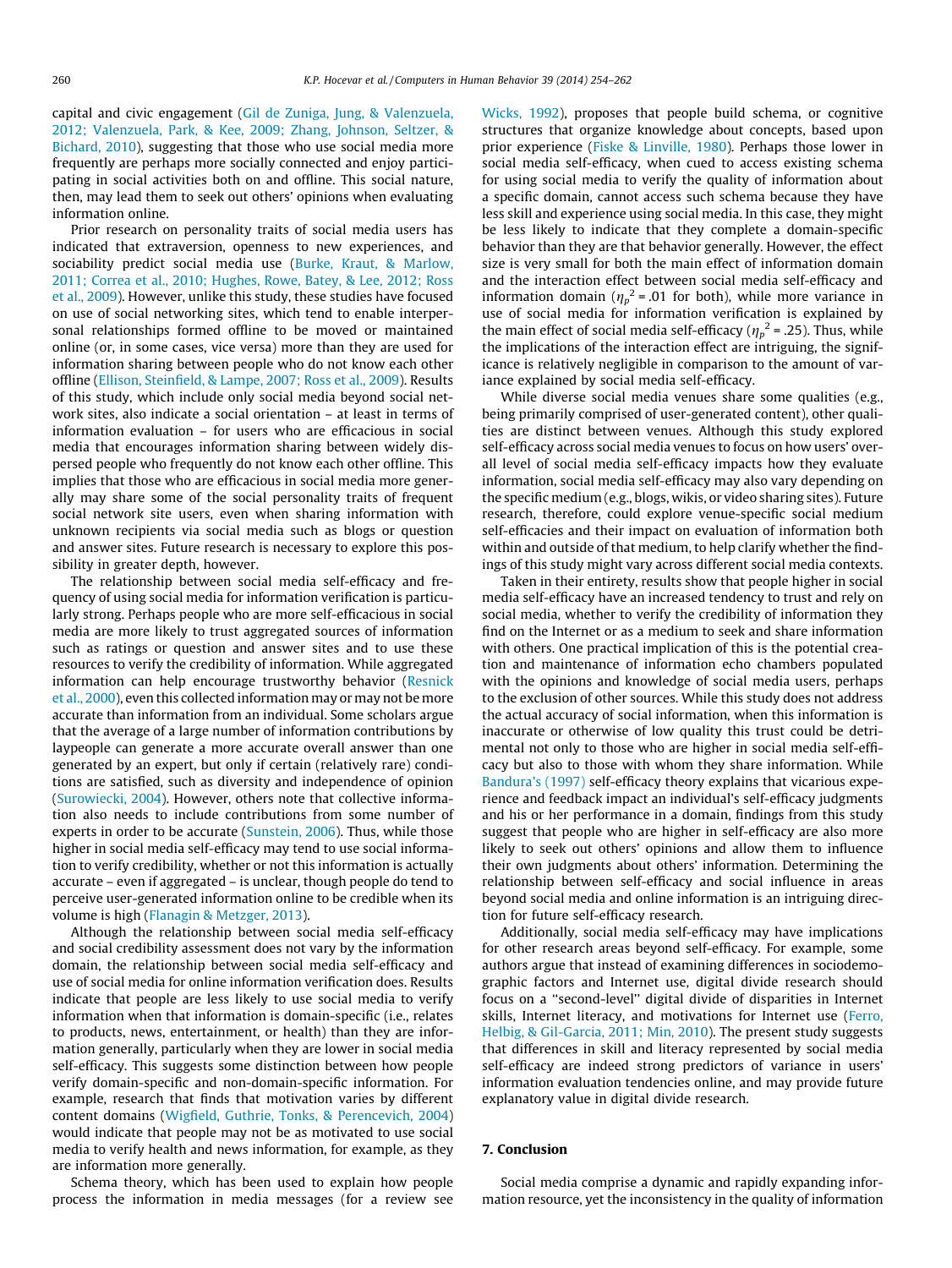capital and civic engagement [\(Gil de Zuniga, Jung, & Valenzuela,](#page-7-0) [2012; Valenzuela, Park, & Kee, 2009; Zhang, Johnson, Seltzer, &](#page-7-0) [Bichard, 2010](#page-7-0)), suggesting that those who use social media more frequently are perhaps more socially connected and enjoy participating in social activities both on and offline. This social nature, then, may lead them to seek out others' opinions when evaluating information online.

Prior research on personality traits of social media users has indicated that extraversion, openness to new experiences, and sociability predict social media use ([Burke, Kraut, & Marlow,](#page-7-0) [2011; Correa et al., 2010; Hughes, Rowe, Batey, & Lee, 2012; Ross](#page-7-0) [et al., 2009](#page-7-0)). However, unlike this study, these studies have focused on use of social networking sites, which tend to enable interpersonal relationships formed offline to be moved or maintained online (or, in some cases, vice versa) more than they are used for information sharing between people who do not know each other offline ([Ellison, Steinfield, & Lampe, 2007; Ross et al., 2009\)](#page-7-0). Results of this study, which include only social media beyond social network sites, also indicate a social orientation – at least in terms of information evaluation – for users who are efficacious in social media that encourages information sharing between widely dispersed people who frequently do not know each other offline. This implies that those who are efficacious in social media more generally may share some of the social personality traits of frequent social network site users, even when sharing information with unknown recipients via social media such as blogs or question and answer sites. Future research is necessary to explore this possibility in greater depth, however.

The relationship between social media self-efficacy and frequency of using social media for information verification is particularly strong. Perhaps people who are more self-efficacious in social media are more likely to trust aggregated sources of information such as ratings or question and answer sites and to use these resources to verify the credibility of information. While aggregated information can help encourage trustworthy behavior [\(Resnick](#page-8-0) [et al., 2000](#page-8-0)), even this collected information may or may not be more accurate than information from an individual. Some scholars argue that the average of a large number of information contributions by laypeople can generate a more accurate overall answer than one generated by an expert, but only if certain (relatively rare) conditions are satisfied, such as diversity and independence of opinion ([Surowiecki, 2004](#page-8-0)). However, others note that collective information also needs to include contributions from some number of experts in order to be accurate [\(Sunstein, 2006](#page-8-0)). Thus, while those higher in social media self-efficacy may tend to use social information to verify credibility, whether or not this information is actually accurate – even if aggregated – is unclear, though people do tend to perceive user-generated information online to be credible when its volume is high [\(Flanagin & Metzger, 2013](#page-7-0)).

Although the relationship between social media self-efficacy and social credibility assessment does not vary by the information domain, the relationship between social media self-efficacy and use of social media for online information verification does. Results indicate that people are less likely to use social media to verify information when that information is domain-specific (i.e., relates to products, news, entertainment, or health) than they are information generally, particularly when they are lower in social media self-efficacy. This suggests some distinction between how people verify domain-specific and non-domain-specific information. For example, research that finds that motivation varies by different content domains ([Wigfield, Guthrie, Tonks, & Perencevich, 2004\)](#page-8-0) would indicate that people may not be as motivated to use social media to verify health and news information, for example, as they are information more generally.

Schema theory, which has been used to explain how people process the information in media messages (for a review see

[Wicks, 1992](#page-8-0)), proposes that people build schema, or cognitive structures that organize knowledge about concepts, based upon prior experience [\(Fiske & Linville, 1980\)](#page-7-0). Perhaps those lower in social media self-efficacy, when cued to access existing schema for using social media to verify the quality of information about a specific domain, cannot access such schema because they have less skill and experience using social media. In this case, they might be less likely to indicate that they complete a domain-specific behavior than they are that behavior generally. However, the effect size is very small for both the main effect of information domain and the interaction effect between social media self-efficacy and information domain ( $\eta_p^2$  = .01 for both), while more variance in use of social media for information verification is explained by the main effect of social media self-efficacy ( $\eta_p^2$  = .25). Thus, while the implications of the interaction effect are intriguing, the significance is relatively negligible in comparison to the amount of variance explained by social media self-efficacy.

While diverse social media venues share some qualities (e.g., being primarily comprised of user-generated content), other qualities are distinct between venues. Although this study explored self-efficacy across social media venues to focus on how users' overall level of social media self-efficacy impacts how they evaluate information, social media self-efficacy may also vary depending on the specific medium (e.g., blogs, wikis, or video sharing sites). Future research, therefore, could explore venue-specific social medium self-efficacies and their impact on evaluation of information both within and outside of that medium, to help clarify whether the findings of this study might vary across different social media contexts.

Taken in their entirety, results show that people higher in social media self-efficacy have an increased tendency to trust and rely on social media, whether to verify the credibility of information they find on the Internet or as a medium to seek and share information with others. One practical implication of this is the potential creation and maintenance of information echo chambers populated with the opinions and knowledge of social media users, perhaps to the exclusion of other sources. While this study does not address the actual accuracy of social information, when this information is inaccurate or otherwise of low quality this trust could be detrimental not only to those who are higher in social media self-efficacy but also to those with whom they share information. While [Bandura's \(1997\)](#page-7-0) self-efficacy theory explains that vicarious experience and feedback impact an individual's self-efficacy judgments and his or her performance in a domain, findings from this study suggest that people who are higher in self-efficacy are also more likely to seek out others' opinions and allow them to influence their own judgments about others' information. Determining the relationship between self-efficacy and social influence in areas beyond social media and online information is an intriguing direction for future self-efficacy research.

Additionally, social media self-efficacy may have implications for other research areas beyond self-efficacy. For example, some authors argue that instead of examining differences in sociodemographic factors and Internet use, digital divide research should focus on a ''second-level'' digital divide of disparities in Internet skills, Internet literacy, and motivations for Internet use [\(Ferro,](#page-7-0) [Helbig, & Gil-Garcia, 2011; Min, 2010](#page-7-0)). The present study suggests that differences in skill and literacy represented by social media self-efficacy are indeed strong predictors of variance in users' information evaluation tendencies online, and may provide future explanatory value in digital divide research.

# 7. Conclusion

Social media comprise a dynamic and rapidly expanding information resource, yet the inconsistency in the quality of information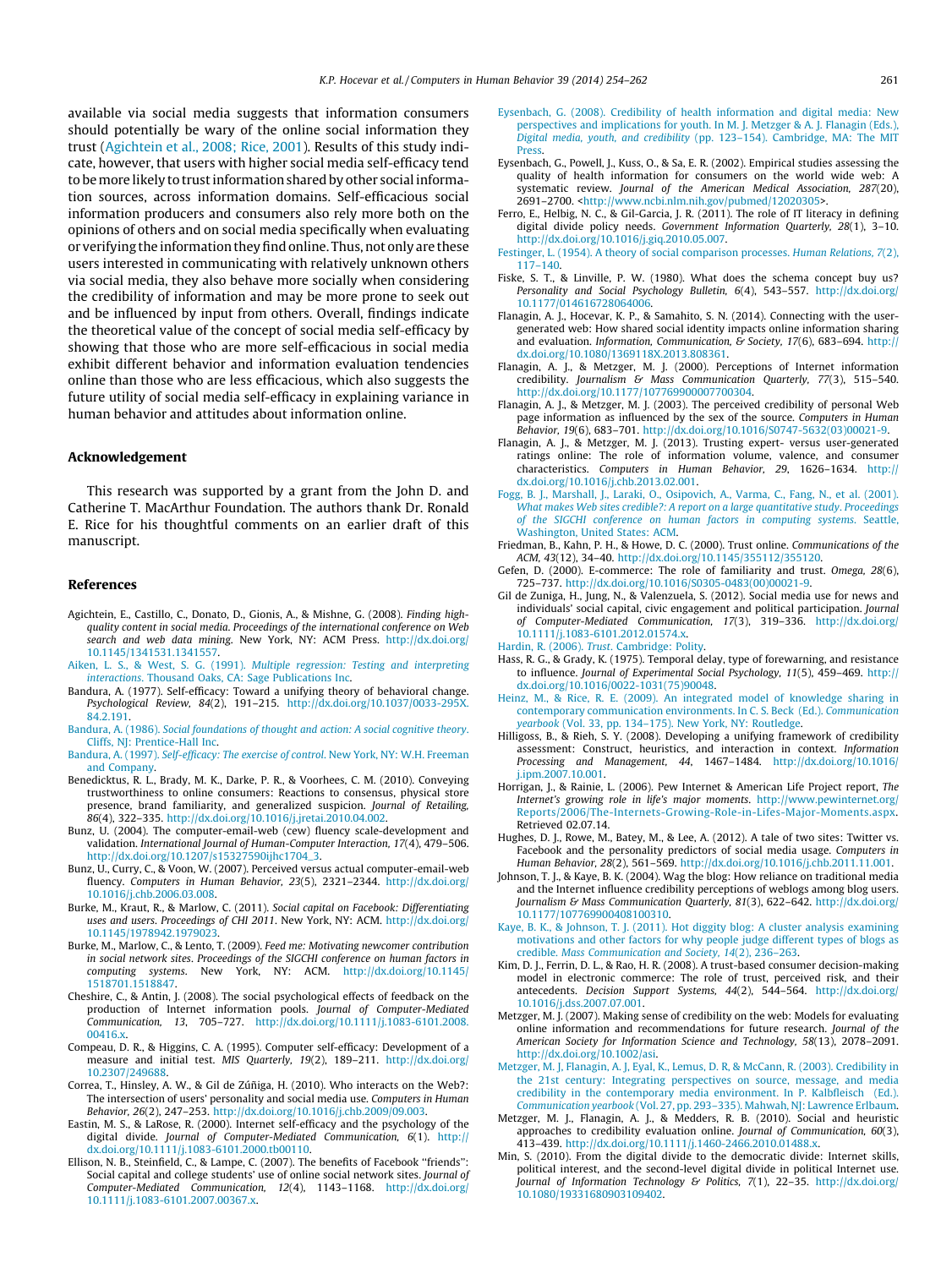<span id="page-7-0"></span>available via social media suggests that information consumers should potentially be wary of the online social information they trust (Agichtein et al., 2008; Rice, 2001). Results of this study indicate, however, that users with higher social media self-efficacy tend to be more likely to trust information shared by other social information sources, across information domains. Self-efficacious social information producers and consumers also rely more both on the opinions of others and on social media specifically when evaluating or verifying the information they find online. Thus, not only are these users interested in communicating with relatively unknown others via social media, they also behave more socially when considering the credibility of information and may be more prone to seek out and be influenced by input from others. Overall, findings indicate the theoretical value of the concept of social media self-efficacy by showing that those who are more self-efficacious in social media exhibit different behavior and information evaluation tendencies online than those who are less efficacious, which also suggests the future utility of social media self-efficacy in explaining variance in human behavior and attitudes about information online.

# Acknowledgement

This research was supported by a grant from the John D. and Catherine T. MacArthur Foundation. The authors thank Dr. Ronald E. Rice for his thoughtful comments on an earlier draft of this manuscript.

#### References

- Agichtein, E., Castillo, C., Donato, D., Gionis, A., & Mishne, G. (2008). Finding highquality content in social media. Proceedings of the international conference on Web search and web data mining. New York, NY: ACM Press. [http://dx.doi.org/](http://dx.doi.org/10.1145/1341531.1341557) [10.1145/1341531.1341557](http://dx.doi.org/10.1145/1341531.1341557).
- Aiken, L. S., & West, S. G. (1991). [Multiple regression: Testing and interpreting](http://refhub.elsevier.com/S0747-5632(14)00394-X/h0010) interactions[. Thousand Oaks, CA: Sage Publications Inc.](http://refhub.elsevier.com/S0747-5632(14)00394-X/h0010)
- Bandura, A. (1977). Self-efficacy: Toward a unifying theory of behavioral change. Psychological Review, 84(2), 191–215. [http://dx.doi.org/10.1037/0033-295X.](http://dx.doi.org/10.1037/0033-295X.84.2.191) [84.2.191.](http://dx.doi.org/10.1037/0033-295X.84.2.191)
- Bandura, A. (1986). [Social foundations of thought and action: A social cognitive theory](http://refhub.elsevier.com/S0747-5632(14)00394-X/h0020). [Cliffs, NJ: Prentice-Hall Inc](http://refhub.elsevier.com/S0747-5632(14)00394-X/h0020).
- Bandura, A. (1997). [Self-efficacy: The exercise of control](http://refhub.elsevier.com/S0747-5632(14)00394-X/h0025). New York, NY: W.H. Freeman [and Company](http://refhub.elsevier.com/S0747-5632(14)00394-X/h0025).
- Benedicktus, R. L., Brady, M. K., Darke, P. R., & Voorhees, C. M. (2010). Conveying trustworthiness to online consumers: Reactions to consensus, physical store presence, brand familiarity, and generalized suspicion. Journal of Retailing, 86(4), 322–335. <http://dx.doi.org/10.1016/j.jretai.2010.04.002>.
- Bunz, U. (2004). The computer-email-web (cew) fluency scale-development and validation. International Journal of Human-Computer Interaction, 17(4), 479–506. [http://dx.doi.org/10.1207/s15327590ijhc1704\\_3.](http://dx.doi.org/10.1207/s15327590ijhc1704_3)
- Bunz, U., Curry, C., & Voon, W. (2007). Perceived versus actual computer-email-web fluency. Computers in Human Behavior, 23(5), 2321–2344. [http://dx.doi.org/](http://dx.doi.org/10.1016/j.chb.2006.03.008) [10.1016/j.chb.2006.03.008](http://dx.doi.org/10.1016/j.chb.2006.03.008).
- Burke, M., Kraut, R., & Marlow, C. (2011). Social capital on Facebook: Differentiating uses and users. Proceedings of CHI 2011. New York, NY: ACM. [http://dx.doi.org/](http://dx.doi.org/10.1145/1978942.1979023) [10.1145/1978942.1979023](http://dx.doi.org/10.1145/1978942.1979023).
- Burke, M., Marlow, C., & Lento, T. (2009). Feed me: Motivating newcomer contribution in social network sites. Proceedings of the SIGCHI conference on human factors in computing systems. New York, NY: ACM. [http://dx.doi.org/10.1145/](http://dx.doi.org/10.1145/1518701.1518847) [1518701.1518847](http://dx.doi.org/10.1145/1518701.1518847).
- Cheshire, C., & Antin, J. (2008). The social psychological effects of feedback on the production of Internet information pools. Journal of Computer-Mediated Communication, 13, 705–727. [http://dx.doi.org/10.1111/j.1083-6101.2008.](http://dx.doi.org/10.1111/j.1083-6101.2008.00416.x) [00416.x.](http://dx.doi.org/10.1111/j.1083-6101.2008.00416.x)
- Compeau, D. R., & Higgins, C. A. (1995). Computer self-efficacy: Development of a measure and initial test. MIS Quarterly, 19(2), 189–211. [http://dx.doi.org/](http://dx.doi.org/10.2307/249688) [10.2307/249688](http://dx.doi.org/10.2307/249688).
- Correa, T., Hinsley, A. W., & Gil de Zúñiga, H. (2010). Who interacts on the Web?: The intersection of users' personality and social media use. Computers in Human Behavior, 26(2), 247–253. <http://dx.doi.org/10.1016/j.chb.2009/09.003>.
- Eastin, M. S., & LaRose, R. (2000). Internet self-efficacy and the psychology of the digital divide. Journal of Computer-Mediated Communication, 6(1). [http://](http://dx.doi.org/10.1111/j.1083-6101.2000.tb00110) [dx.doi.org/10.1111/j.1083-6101.2000.tb00110.](http://dx.doi.org/10.1111/j.1083-6101.2000.tb00110)
- Ellison, N. B., Steinfield, C., & Lampe, C. (2007). The benefits of Facebook ''friends'': Social capital and college students' use of online social network sites. Journal of Computer-Mediated Communication, 12(4), 1143–1168. [http://dx.doi.org/](http://dx.doi.org/10.1111/j.1083-6101.2007.00367.x) [10.1111/j.1083-6101.2007.00367.x](http://dx.doi.org/10.1111/j.1083-6101.2007.00367.x).
- [Eysenbach, G. \(2008\). Credibility of health information and digital media: New](http://refhub.elsevier.com/S0747-5632(14)00394-X/h0080) perspectives and implications for youth. In M. J. Metzger & A. J. Flanagin (Eds.) Digital media, youth, and credibility [\(pp. 123–154\). Cambridge, MA: The MIT](http://refhub.elsevier.com/S0747-5632(14)00394-X/h0080) [Press](http://refhub.elsevier.com/S0747-5632(14)00394-X/h0080).
- Eysenbach, G., Powell, J., Kuss, O., & Sa, E. R. (2002). Empirical studies assessing the quality of health information for consumers on the world wide web: A systematic review. Journal of the American Medical Association, 287(20), 2691–2700. <<http://www.ncbi.nlm.nih.gov/pubmed/12020305>>.
- Ferro, E., Helbig, N. C., & Gil-Garcia, J. R. (2011). The role of IT literacy in defining digital divide policy needs. Government Information Quarterly, 28(1), 3–10. [http://dx.doi.org/10.1016/j.giq.2010.05.007.](http://dx.doi.org/10.1016/j.giq.2010.05.007)
- [Festinger, L. \(1954\). A theory of social comparison processes.](http://refhub.elsevier.com/S0747-5632(14)00394-X/h0095) Human Relations, 7(2), [117–140](http://refhub.elsevier.com/S0747-5632(14)00394-X/h0095).
- Fiske, S. T., & Linville, P. W. (1980). What does the schema concept buy us? Personality and Social Psychology Bulletin, 6(4), 543-557. [http://dx.doi.org/](http://dx.doi.org/10.1177/014616728064006) [10.1177/014616728064006](http://dx.doi.org/10.1177/014616728064006).
- Flanagin, A. J., Hocevar, K. P., & Samahito, S. N. (2014). Connecting with the usergenerated web: How shared social identity impacts online information sharing and evaluation. Information, Communication,  $\hat{\sigma}$  Society, 17(6), 683–694. http: [dx.doi.org/10.1080/1369118X.2013.808361.](http://dx.doi.org/10.1080/1369118X.2013.808361)
- Flanagin, A. J., & Metzger, M. J. (2000). Perceptions of Internet information credibility. Journalism & Mass Communication Quarterly, 77(3), 515–540. <http://dx.doi.org/10.1177/107769900007700304>.
- Flanagin, A. J., & Metzger, M. J. (2003). The perceived credibility of personal Web page information as influenced by the sex of the source. Computers in Human Behavior, 19(6), 683–701. [http://dx.doi.org/10.1016/S0747-5632\(03\)00021-9](http://dx.doi.org/10.1016/S0747-5632(03)00021-9).
- Flanagin, A. J., & Metzger, M. J. (2013). Trusting expert- versus user-generated ratings online: The role of information volume, valence, and consumer characteristics. Computers in Human Behavior, 29, 1626–1634. [http://](http://dx.doi.org/10.1016/j.chb.2013.02.001) [dx.doi.org/10.1016/j.chb.2013.02.001.](http://dx.doi.org/10.1016/j.chb.2013.02.001)
- [Fogg, B. J., Marshall, J., Laraki, O., Osipovich, A., Varma, C., Fang, N., et al. \(2001\).](http://refhub.elsevier.com/S0747-5632(14)00394-X/h0125) [What makes Web sites credible?: A report on a large quantitative study](http://refhub.elsevier.com/S0747-5632(14)00394-X/h0125). Proceedings [of the SIGCHI conference on human factors in computing systems](http://refhub.elsevier.com/S0747-5632(14)00394-X/h0125). Seattle, [Washington, United States: ACM](http://refhub.elsevier.com/S0747-5632(14)00394-X/h0125).
- Friedman, B., Kahn, P. H., & Howe, D. C. (2000). Trust online. Communications of the ACM, 43(12), 34–40. [http://dx.doi.org/10.1145/355112/355120.](http://dx.doi.org/10.1145/355112/355120)
- Gefen, D. (2000). E-commerce: The role of familiarity and trust. Omega, 28(6), 725–737. [http://dx.doi.org/10.1016/S0305-0483\(00\)00021-9.](http://dx.doi.org/10.1016/S0305-0483(00)00021-9)
- Gil de Zuniga, H., Jung, N., & Valenzuela, S. (2012). Social media use for news and individuals' social capital, civic engagement and political participation. Journal of Computer-Mediated Communication, 17(3), 319–336. [http://dx.doi.org/](http://dx.doi.org/10.1111/j.1083-6101.2012.01574.x) [10.1111/j.1083-6101.2012.01574.x](http://dx.doi.org/10.1111/j.1083-6101.2012.01574.x).
- Hardin, R. (2006). Trust[. Cambridge: Polity](http://refhub.elsevier.com/S0747-5632(14)00394-X/h0145).
- Hass, R. G., & Grady, K. (1975). Temporal delay, type of forewarning, and resistance to influence. Journal of Experimental Social Psychology, 11(5), 459–469. [http://](http://dx.doi.org/10.1016/0022-1031(75)90048) [dx.doi.org/10.1016/0022-1031\(75\)90048.](http://dx.doi.org/10.1016/0022-1031(75)90048)
- [Heinz, M., & Rice, R. E. \(2009\). An integrated model of knowledge sharing in](http://refhub.elsevier.com/S0747-5632(14)00394-X/h0155) [contemporary communication environments. In C. S. Beck \(Ed.\).](http://refhub.elsevier.com/S0747-5632(14)00394-X/h0155) Communication yearbook [\(Vol. 33, pp. 134–175\). New York, NY: Routledge.](http://refhub.elsevier.com/S0747-5632(14)00394-X/h0155)
- Hilligoss, B., & Rieh, S. Y. (2008). Developing a unifying framework of credibility assessment: Construct, heuristics, and interaction in context. Information Processing and Management, 44, 1467–1484. [http://dx.doi.org/10.1016/](http://dx.doi.org/10.1016/j.ipm.2007.10.001) [j.ipm.2007.10.001.](http://dx.doi.org/10.1016/j.ipm.2007.10.001)
- Horrigan, J., & Rainie, L. (2006). Pew Internet & American Life Project report, The Internet's growing role in life's major moments. [http://www.pewinternet.org/](http://www.pewinternet.org/Reports/2006/The-Internets-Growing-Role-in-Lifes-Major-Moments.aspx) [Reports/2006/The-Internets-Growing-Role-in-Lifes-Major-Moments.aspx.](http://www.pewinternet.org/Reports/2006/The-Internets-Growing-Role-in-Lifes-Major-Moments.aspx) Retrieved 02.07.14.
- Hughes, D. J., Rowe, M., Batey, M., & Lee, A. (2012). A tale of two sites: Twitter vs. Facebook and the personality predictors of social media usage. Computers in Human Behavior, 28(2), 561–569. [http://dx.doi.org/10.1016/j.chb.2011.11.001.](http://dx.doi.org/10.1016/j.chb.2011.11.001)
- Johnson, T. J., & Kaye, B. K. (2004). Wag the blog: How reliance on traditional media and the Internet influence credibility perceptions of weblogs among blog users. Journalism & Mass Communication Quarterly, 81(3), 622-642. [http://dx.doi.org/](http://dx.doi.org/10.1177/107769900408100310) [10.1177/107769900408100310](http://dx.doi.org/10.1177/107769900408100310).
- [Kaye, B. K., & Johnson, T. J. \(2011\). Hot diggity blog: A cluster analysis examining](http://refhub.elsevier.com/S0747-5632(14)00394-X/h0185) [motivations and other factors for why people judge different types of blogs as](http://refhub.elsevier.com/S0747-5632(14)00394-X/h0185) credible. [Mass Communication and Society, 14](http://refhub.elsevier.com/S0747-5632(14)00394-X/h0185)(2), 236–263.
- Kim, D. J., Ferrin, D. L., & Rao, H. R. (2008). A trust-based consumer decision-making model in electronic commerce: The role of trust, perceived risk, and their antecedents. Decision Support Systems, 44(2), 544–564. [http://dx.doi.org/](http://dx.doi.org/10.1016/j.dss.2007.07.001) [10.1016/j.dss.2007.07.001](http://dx.doi.org/10.1016/j.dss.2007.07.001).
- Metzger, M. J. (2007). Making sense of credibility on the web: Models for evaluating online information and recommendations for future research. Journal of the American Society for Information Science and Technology, 58(13), 2078–2091. <http://dx.doi.org/10.1002/asi>.
- [Metzger, M. J, Flanagin, A. J, Eyal, K., Lemus, D. R, & McCann, R. \(2003\). Credibility in](http://refhub.elsevier.com/S0747-5632(14)00394-X/h0195) [the 21st century: Integrating perspectives on source, message, and media](http://refhub.elsevier.com/S0747-5632(14)00394-X/h0195) [credibility in the contemporary media environment. In P. Kalbfleisch \(Ed.\).](http://refhub.elsevier.com/S0747-5632(14)00394-X/h0195) Communication yearbook [\(Vol. 27, pp. 293–335\). Mahwah, NJ: Lawrence Erlbaum.](http://refhub.elsevier.com/S0747-5632(14)00394-X/h0195)
- Metzger, M. J., Flanagin, A. J., & Medders, R. B. (2010). Social and heuristic approaches to credibility evaluation online. Journal of Communication, 60(3), 413–439. [http://dx.doi.org/10.1111/j.1460-2466.2010.01488.x.](http://dx.doi.org/10.1111/j.1460-2466.2010.01488.x)
- Min, S. (2010). From the digital divide to the democratic divide: Internet skills, political interest, and the second-level digital divide in political Internet use. Journal of Information Technology & Politics, 7(1), 22-35. [http://dx.doi.org/](http://dx.doi.org/10.1080/19331680903109402) [10.1080/19331680903109402.](http://dx.doi.org/10.1080/19331680903109402)